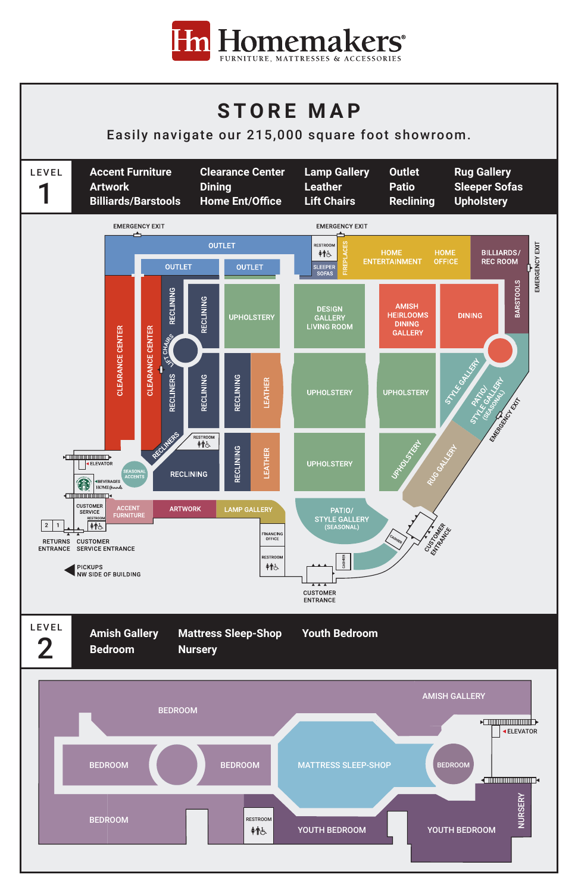